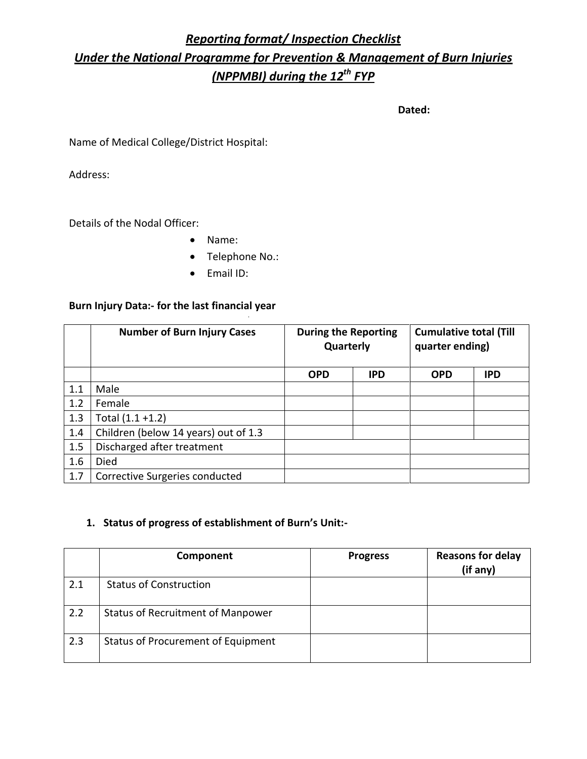# *Reporting format/ Inspection Checklist Under the National Programme for Prevention & Management of Burn Injuries (NPPMBI) during the 12th FYP*

**Dated:**

Name of Medical College/District Hospital:

Address:

Details of the Nodal Officer:

- Name:
- Telephone No.:
- Email ID:

#### **Burn Injury Data:- for the last financial year**

|     | <b>Number of Burn Injury Cases</b>   | <b>During the Reporting</b><br>Quarterly |            | <b>Cumulative total (Till</b><br>quarter ending) |            |
|-----|--------------------------------------|------------------------------------------|------------|--------------------------------------------------|------------|
|     |                                      | <b>OPD</b>                               | <b>IPD</b> | <b>OPD</b>                                       | <b>IPD</b> |
| 1.1 | Male                                 |                                          |            |                                                  |            |
| 1.2 | Female                               |                                          |            |                                                  |            |
| 1.3 | Total $(1.1 + 1.2)$                  |                                          |            |                                                  |            |
| 1.4 | Children (below 14 years) out of 1.3 |                                          |            |                                                  |            |
| 1.5 | Discharged after treatment           |                                          |            |                                                  |            |
| 1.6 | Died                                 |                                          |            |                                                  |            |
| 1.7 | Corrective Surgeries conducted       |                                          |            |                                                  |            |

# **1. Status of progress of establishment of Burn's Unit:-**

|     | Component                                 | <b>Progress</b> | <b>Reasons for delay</b><br>(if any) |
|-----|-------------------------------------------|-----------------|--------------------------------------|
| 2.1 | <b>Status of Construction</b>             |                 |                                      |
| 2.2 | <b>Status of Recruitment of Manpower</b>  |                 |                                      |
| 2.3 | <b>Status of Procurement of Equipment</b> |                 |                                      |